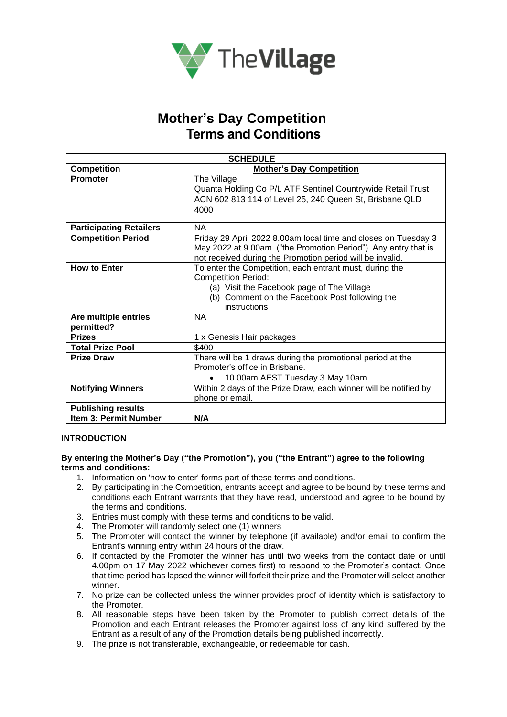

## **Mother's Day Competition Terms and Conditions**

| <b>SCHEDULE</b>                    |                                                                                                                                                                                                       |
|------------------------------------|-------------------------------------------------------------------------------------------------------------------------------------------------------------------------------------------------------|
| <b>Competition</b>                 | <b>Mother's Day Competition</b>                                                                                                                                                                       |
| <b>Promoter</b>                    | The Village<br>Quanta Holding Co P/L ATF Sentinel Countrywide Retail Trust<br>ACN 602 813 114 of Level 25, 240 Queen St, Brisbane QLD<br>4000                                                         |
| <b>Participating Retailers</b>     | <b>NA</b>                                                                                                                                                                                             |
| <b>Competition Period</b>          | Friday 29 April 2022 8.00am local time and closes on Tuesday 3<br>May 2022 at 9.00am. ("the Promotion Period"). Any entry that is<br>not received during the Promotion period will be invalid.        |
| <b>How to Enter</b>                | To enter the Competition, each entrant must, during the<br><b>Competition Period:</b><br>(a) Visit the Facebook page of The Village<br>(b) Comment on the Facebook Post following the<br>instructions |
| Are multiple entries<br>permitted? | <b>NA</b>                                                                                                                                                                                             |
| <b>Prizes</b>                      | 1 x Genesis Hair packages                                                                                                                                                                             |
| <b>Total Prize Pool</b>            | \$400                                                                                                                                                                                                 |
| <b>Prize Draw</b>                  | There will be 1 draws during the promotional period at the<br>Promoter's office in Brisbane.<br>10.00am AEST Tuesday 3 May 10am<br>$\bullet$                                                          |
| <b>Notifying Winners</b>           | Within 2 days of the Prize Draw, each winner will be notified by<br>phone or email.                                                                                                                   |
| <b>Publishing results</b>          |                                                                                                                                                                                                       |
| <b>Item 3: Permit Number</b>       | N/A                                                                                                                                                                                                   |

## **INTRODUCTION**

### **By entering the Mother's Day ("the Promotion"), you ("the Entrant") agree to the following terms and conditions:**

- 1. Information on 'how to enter' forms part of these terms and conditions.
- 2. By participating in the Competition, entrants accept and agree to be bound by these terms and conditions each Entrant warrants that they have read, understood and agree to be bound by the terms and conditions.
- 3. Entries must comply with these terms and conditions to be valid.
- 4. The Promoter will randomly select one (1) winners
- 5. The Promoter will contact the winner by telephone (if available) and/or email to confirm the Entrant's winning entry within 24 hours of the draw.
- 6. If contacted by the Promoter the winner has until two weeks from the contact date or until 4.00pm on 17 May 2022 whichever comes first) to respond to the Promoter's contact. Once that time period has lapsed the winner will forfeit their prize and the Promoter will select another winner.
- 7. No prize can be collected unless the winner provides proof of identity which is satisfactory to the Promoter.
- 8. All reasonable steps have been taken by the Promoter to publish correct details of the Promotion and each Entrant releases the Promoter against loss of any kind suffered by the Entrant as a result of any of the Promotion details being published incorrectly.
- 9. The prize is not transferable, exchangeable, or redeemable for cash.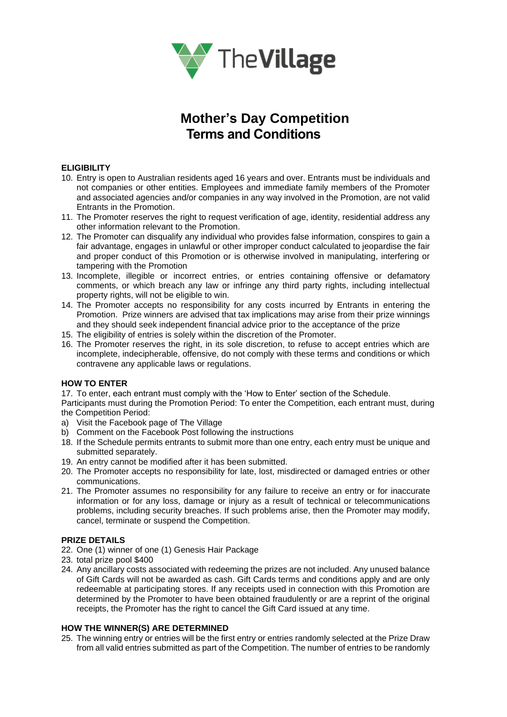

# **Mother's Day Competition Terms and Conditions**

### **ELIGIBILITY**

- 10. Entry is open to Australian residents aged 16 years and over. Entrants must be individuals and not companies or other entities. Employees and immediate family members of the Promoter and associated agencies and/or companies in any way involved in the Promotion, are not valid Entrants in the Promotion.
- 11. The Promoter reserves the right to request verification of age, identity, residential address any other information relevant to the Promotion.
- 12. The Promoter can disqualify any individual who provides false information, conspires to gain a fair advantage, engages in unlawful or other improper conduct calculated to jeopardise the fair and proper conduct of this Promotion or is otherwise involved in manipulating, interfering or tampering with the Promotion
- 13. Incomplete, illegible or incorrect entries, or entries containing offensive or defamatory comments, or which breach any law or infringe any third party rights, including intellectual property rights, will not be eligible to win.
- 14. The Promoter accepts no responsibility for any costs incurred by Entrants in entering the Promotion. Prize winners are advised that tax implications may arise from their prize winnings and they should seek independent financial advice prior to the acceptance of the prize
- 15. The eligibility of entries is solely within the discretion of the Promoter.
- 16. The Promoter reserves the right, in its sole discretion, to refuse to accept entries which are incomplete, indecipherable, offensive, do not comply with these terms and conditions or which contravene any applicable laws or regulations.

#### **HOW TO ENTER**

17. To enter, each entrant must comply with the 'How to Enter' section of the Schedule.

Participants must during the Promotion Period: To enter the Competition, each entrant must, during the Competition Period:

- a) Visit the Facebook page of The Village
- b) Comment on the Facebook Post following the instructions
- 18. If the Schedule permits entrants to submit more than one entry, each entry must be unique and submitted separately.
- 19. An entry cannot be modified after it has been submitted.
- 20. The Promoter accepts no responsibility for late, lost, misdirected or damaged entries or other communications.
- 21. The Promoter assumes no responsibility for any failure to receive an entry or for inaccurate information or for any loss, damage or injury as a result of technical or telecommunications problems, including security breaches. If such problems arise, then the Promoter may modify, cancel, terminate or suspend the Competition.

#### **PRIZE DETAILS**

- 22. One (1) winner of one (1) Genesis Hair Package
- 23. total prize pool \$400
- 24. Any ancillary costs associated with redeeming the prizes are not included. Any unused balance of Gift Cards will not be awarded as cash. Gift Cards terms and conditions apply and are only redeemable at participating stores. If any receipts used in connection with this Promotion are determined by the Promoter to have been obtained fraudulently or are a reprint of the original receipts, the Promoter has the right to cancel the Gift Card issued at any time.

#### **HOW THE WINNER(S) ARE DETERMINED**

25. The winning entry or entries will be the first entry or entries randomly selected at the Prize Draw from all valid entries submitted as part of the Competition. The number of entries to be randomly